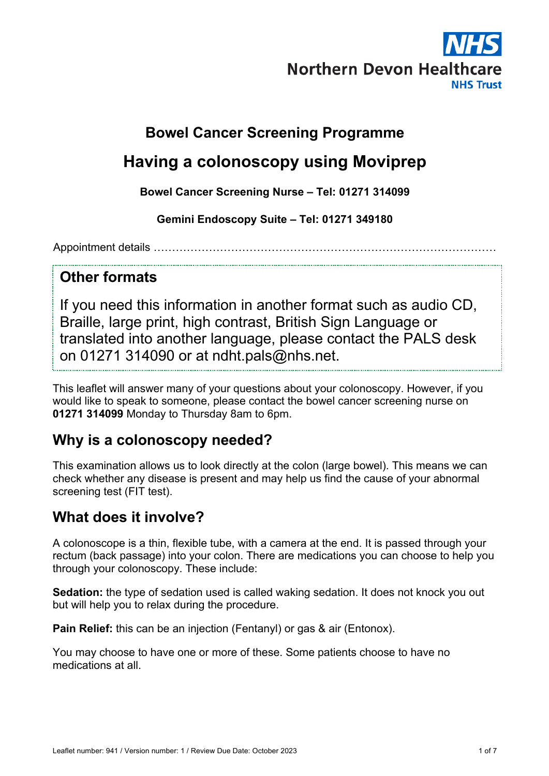

## **Bowel Cancer Screening Programme**

# **Having a colonoscopy using Moviprep**

**Bowel Cancer Screening Nurse – Tel: 01271 314099**

**Gemini Endoscopy Suite – Tel: 01271 349180**

Appointment details …………………………………………………………………………………

#### **Other formats**

If you need this information in another format such as audio CD, Braille, large print, high contrast, British Sign Language or translated into another language, please contact the PALS desk on 01271 314090 or at ndht.pals@nhs.net.

This leaflet will answer many of your questions about your colonoscopy. However, if you would like to speak to someone, please contact the bowel cancer screening nurse on **01271 314099** Monday to Thursday 8am to 6pm.

### **Why is a colonoscopy needed?**

This examination allows us to look directly at the colon (large bowel). This means we can check whether any disease is present and may help us find the cause of your abnormal screening test (FIT test).

### **What does it involve?**

A colonoscope is a thin, flexible tube, with a camera at the end. It is passed through your rectum (back passage) into your colon. There are medications you can choose to help you through your colonoscopy. These include:

**Sedation:** the type of sedation used is called waking sedation. It does not knock you out but will help you to relax during the procedure.

**Pain Relief:** this can be an injection (Fentanyl) or gas & air (Entonox).

You may choose to have one or more of these. Some patients choose to have no medications at all.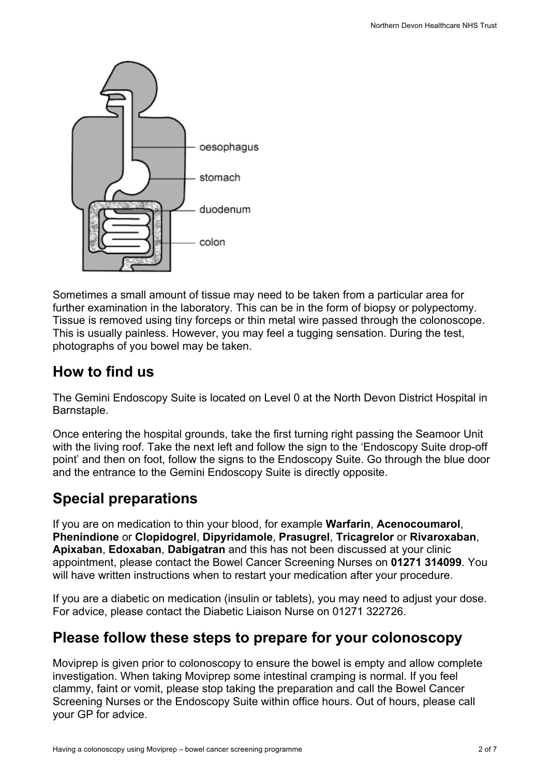

Sometimes a small amount of tissue may need to be taken from a particular area for further examination in the laboratory. This can be in the form of biopsy or polypectomy. Tissue is removed using tiny forceps or thin metal wire passed through the colonoscope. This is usually painless. However, you may feel a tugging sensation. During the test, photographs of you bowel may be taken.

## **How to find us**

The Gemini Endoscopy Suite is located on Level 0 at the North Devon District Hospital in Barnstaple.

Once entering the hospital grounds, take the first turning right passing the Seamoor Unit with the living roof. Take the next left and follow the sign to the 'Endoscopy Suite drop-off point' and then on foot, follow the signs to the Endoscopy Suite. Go through the blue door and the entrance to the Gemini Endoscopy Suite is directly opposite.

## **Special preparations**

If you are on medication to thin your blood, for example **Warfarin**, **Acenocoumarol**, **Phenindione** or **Clopidogrel**, **Dipyridamole**, **Prasugrel**, **Tricagrelor** or **Rivaroxaban**, **Apixaban**, **Edoxaban**, **Dabigatran** and this has not been discussed at your clinic appointment, please contact the Bowel Cancer Screening Nurses on **01271 314099**. You will have written instructions when to restart your medication after your procedure.

If you are a diabetic on medication (insulin or tablets), you may need to adjust your dose. For advice, please contact the Diabetic Liaison Nurse on 01271 322726.

## **Please follow these steps to prepare for your colonoscopy**

Moviprep is given prior to colonoscopy to ensure the bowel is empty and allow complete investigation. When taking Moviprep some intestinal cramping is normal. If you feel clammy, faint or vomit, please stop taking the preparation and call the Bowel Cancer Screening Nurses or the Endoscopy Suite within office hours. Out of hours, please call your GP for advice.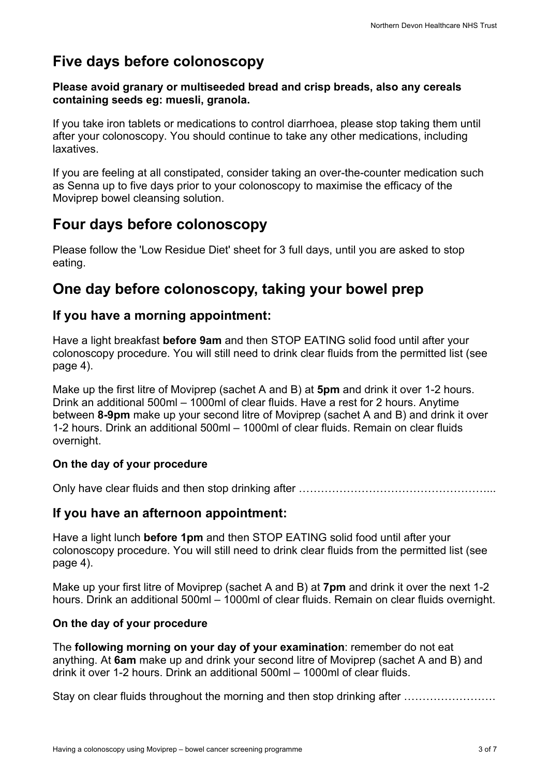# **Five days before colonoscopy**

#### **Please avoid granary or multiseeded bread and crisp breads, also any cereals containing seeds eg: muesli, granola.**

If you take iron tablets or medications to control diarrhoea, please stop taking them until after your colonoscopy. You should continue to take any other medications, including laxatives.

If you are feeling at all constipated, consider taking an over-the-counter medication such as Senna up to five days prior to your colonoscopy to maximise the efficacy of the Moviprep bowel cleansing solution.

## **Four days before colonoscopy**

Please follow the 'Low Residue Diet' sheet for 3 full days, until you are asked to stop eating.

### **One day before colonoscopy, taking your bowel prep**

#### **If you have a morning appointment:**

Have a light breakfast **before 9am** and then STOP EATING solid food until after your colonoscopy procedure. You will still need to drink clear fluids from the permitted list (see page 4).

Make up the first litre of Moviprep (sachet A and B) at **5pm** and drink it over 1-2 hours. Drink an additional 500ml – 1000ml of clear fluids. Have a rest for 2 hours. Anytime between **8-9pm** make up your second litre of Moviprep (sachet A and B) and drink it over 1-2 hours. Drink an additional 500ml – 1000ml of clear fluids. Remain on clear fluids overnight.

#### **On the day of your procedure**

Only have clear fluids and then stop drinking after ……………………………………………...

#### **If you have an afternoon appointment:**

Have a light lunch **before 1pm** and then STOP EATING solid food until after your colonoscopy procedure. You will still need to drink clear fluids from the permitted list (see page 4).

Make up your first litre of Moviprep (sachet A and B) at **7pm** and drink it over the next 1-2 hours. Drink an additional 500ml – 1000ml of clear fluids. Remain on clear fluids overnight.

#### **On the day of your procedure**

The **following morning on your day of your examination**: remember do not eat anything. At **6am** make up and drink your second litre of Moviprep (sachet A and B) and drink it over 1-2 hours. Drink an additional 500ml – 1000ml of clear fluids.

Stay on clear fluids throughout the morning and then stop drinking after ..........................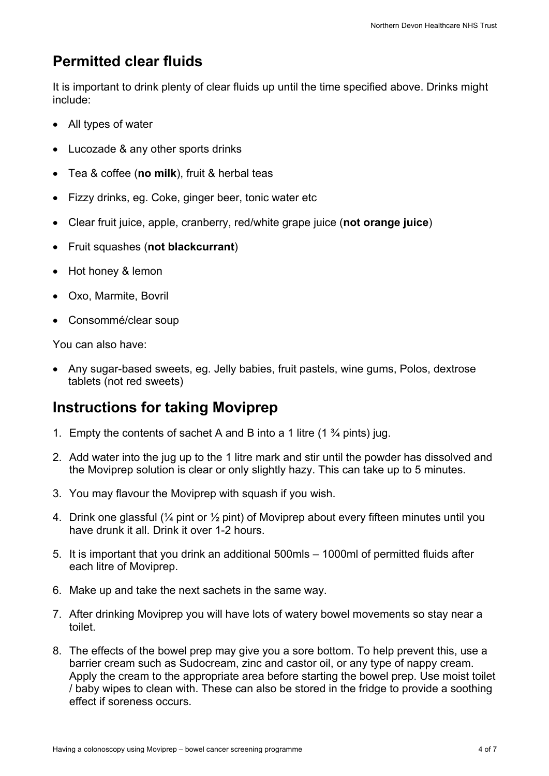# **Permitted clear fluids**

It is important to drink plenty of clear fluids up until the time specified above. Drinks might include:

- All types of water
- Lucozade & any other sports drinks
- Tea & coffee (**no milk**), fruit & herbal teas
- Fizzy drinks, eg. Coke, ginger beer, tonic water etc
- Clear fruit juice, apple, cranberry, red/white grape juice (**not orange juice**)
- Fruit squashes (**not blackcurrant**)
- Hot honey & lemon
- Oxo, Marmite, Bovril
- Consommé/clear soup

You can also have:

• Any sugar-based sweets, eg. Jelly babies, fruit pastels, wine gums, Polos, dextrose tablets (not red sweets)

#### **Instructions for taking Moviprep**

- 1. Empty the contents of sachet A and B into a 1 litre  $(1 \frac{3}{4}$  pints) jug.
- 2. Add water into the jug up to the 1 litre mark and stir until the powder has dissolved and the Moviprep solution is clear or only slightly hazy. This can take up to 5 minutes.
- 3. You may flavour the Moviprep with squash if you wish.
- 4. Drink one glassful (¼ pint or ½ pint) of Moviprep about every fifteen minutes until you have drunk it all. Drink it over 1-2 hours.
- 5. It is important that you drink an additional 500mls 1000ml of permitted fluids after each litre of Moviprep.
- 6. Make up and take the next sachets in the same way.
- 7. After drinking Moviprep you will have lots of watery bowel movements so stay near a toilet.
- 8. The effects of the bowel prep may give you a sore bottom. To help prevent this, use a barrier cream such as Sudocream, zinc and castor oil, or any type of nappy cream. Apply the cream to the appropriate area before starting the bowel prep. Use moist toilet / baby wipes to clean with. These can also be stored in the fridge to provide a soothing effect if soreness occurs.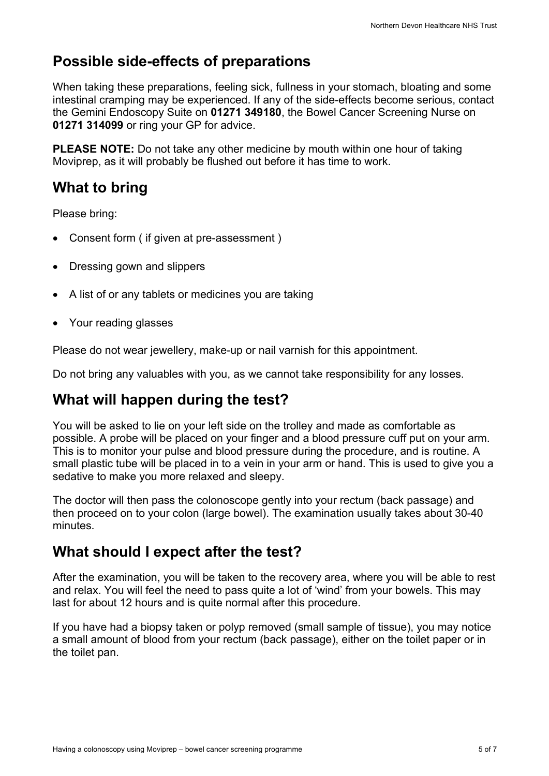# **Possible side-effects of preparations**

When taking these preparations, feeling sick, fullness in your stomach, bloating and some intestinal cramping may be experienced. If any of the side-effects become serious, contact the Gemini Endoscopy Suite on **01271 349180**, the Bowel Cancer Screening Nurse on **01271 314099** or ring your GP for advice.

**PLEASE NOTE:** Do not take any other medicine by mouth within one hour of taking Moviprep, as it will probably be flushed out before it has time to work.

# **What to bring**

Please bring:

- Consent form ( if given at pre-assessment )
- Dressing gown and slippers
- A list of or any tablets or medicines you are taking
- Your reading glasses

Please do not wear jewellery, make-up or nail varnish for this appointment.

Do not bring any valuables with you, as we cannot take responsibility for any losses.

### **What will happen during the test?**

You will be asked to lie on your left side on the trolley and made as comfortable as possible. A probe will be placed on your finger and a blood pressure cuff put on your arm. This is to monitor your pulse and blood pressure during the procedure, and is routine. A small plastic tube will be placed in to a vein in your arm or hand. This is used to give you a sedative to make you more relaxed and sleepy.

The doctor will then pass the colonoscope gently into your rectum (back passage) and then proceed on to your colon (large bowel). The examination usually takes about 30-40 minutes.

### **What should I expect after the test?**

After the examination, you will be taken to the recovery area, where you will be able to rest and relax. You will feel the need to pass quite a lot of 'wind' from your bowels. This may last for about 12 hours and is quite normal after this procedure.

If you have had a biopsy taken or polyp removed (small sample of tissue), you may notice a small amount of blood from your rectum (back passage), either on the toilet paper or in the toilet pan.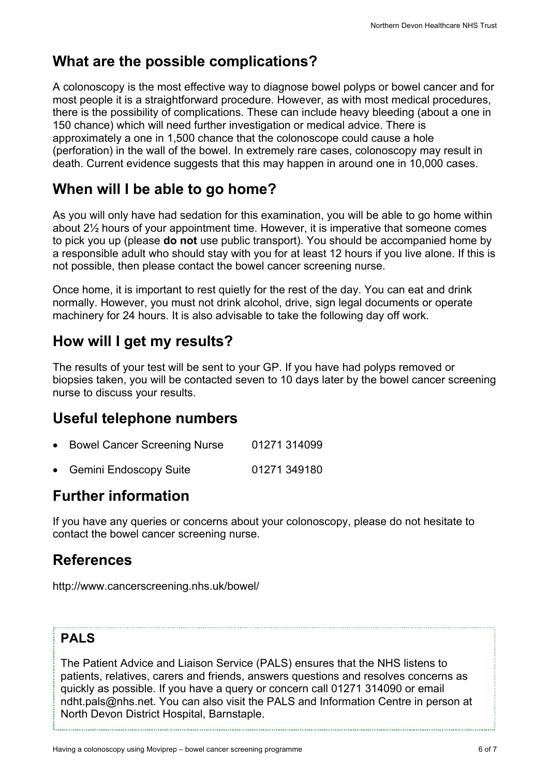## **What are the possible complications?**

A colonoscopy is the most effective way to diagnose bowel polyps or bowel cancer and for most people it is a straightforward procedure. However, as with most medical procedures, there is the possibility of complications. These can include heavy bleeding (about a one in 150 chance) which will need further investigation or medical advice. There is approximately a one in 1,500 chance that the colonoscope could cause a hole (perforation) in the wall of the bowel. In extremely rare cases, colonoscopy may result in death. Current evidence suggests that this may happen in around one in 10,000 cases.

## **When will I be able to go home?**

As you will only have had sedation for this examination, you will be able to go home within about 2½ hours of your appointment time. However, it is imperative that someone comes to pick you up (please **do not** use public transport). You should be accompanied home by a responsible adult who should stay with you for at least 12 hours if you live alone. If this is not possible, then please contact the bowel cancer screening nurse.

Once home, it is important to rest quietly for the rest of the day. You can eat and drink normally. However, you must not drink alcohol, drive, sign legal documents or operate machinery for 24 hours. It is also advisable to take the following day off work.

## **How will I get my results?**

The results of your test will be sent to your GP. If you have had polyps removed or biopsies taken, you will be contacted seven to 10 days later by the bowel cancer screening nurse to discuss your results.

### **Useful telephone numbers**

- Bowel Cancer Screening Nurse 01271 314099
- Gemini Endoscopy Suite 01271 349180

## **Further information**

If you have any queries or concerns about your colonoscopy, please do not hesitate to contact the bowel cancer screening nurse.

### **References**

http://www.cancerscreening.nhs.uk/bowel/

#### **PALS**

The Patient Advice and Liaison Service (PALS) ensures that the NHS listens to patients, relatives, carers and friends, answers questions and resolves concerns as quickly as possible. If you have a query or concern call 01271 314090 or email ndht.pals@nhs.net. You can also visit the PALS and Information Centre in person at North Devon District Hospital, Barnstaple.